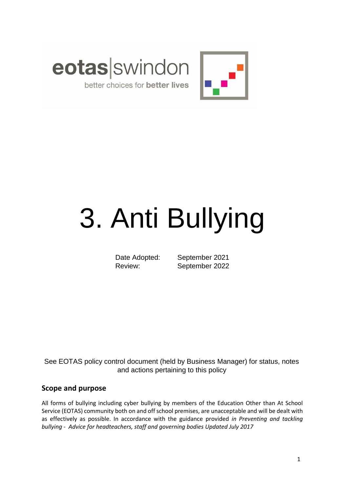

# 3. Anti Bullying

Date Adopted: September 2021 Review: September 2022

See EOTAS policy control document (held by Business Manager) for status, notes and actions pertaining to this policy

## **Scope and purpose**

All forms of bullying including cyber bullying by members of the Education Other than At School Service (EOTAS) community both on and off school premises, are unacceptable and will be dealt with as effectively as possible. In accordance with the guidance provided *in Preventing and tackling bullying - Advice for headteachers, staff and governing bodies Updated July 2017*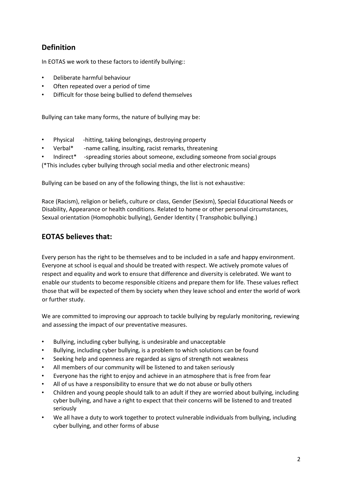# **Definition**

In EOTAS we work to these factors to identify bullying::

- Deliberate harmful behaviour
- Often repeated over a period of time
- Difficult for those being bullied to defend themselves

Bullying can take many forms, the nature of bullying may be:

- Physical -hitting, taking belongings, destroying property
- Verbal\* -name calling, insulting, racist remarks, threatening
- Indirect\* -spreading stories about someone, excluding someone from social groups

(\*This includes cyber bullying through social media and other electronic means)

Bullying can be based on any of the following things, the list is not exhaustive:

Race (Racism), religion or beliefs, culture or class, Gender (Sexism), Special Educational Needs or Disability, Appearance or health conditions. Related to home or other personal circumstances, Sexual orientation (Homophobic bullying), Gender Identity ( Transphobic bullying.)

## **EOTAS believes that:**

Every person has the right to be themselves and to be included in a safe and happy environment. Everyone at school is equal and should be treated with respect. We actively promote values of respect and equality and work to ensure that difference and diversity is celebrated. We want to enable our students to become responsible citizens and prepare them for life. These values reflect those that will be expected of them by society when they leave school and enter the world of work or further study.

We are committed to improving our approach to tackle bullying by regularly monitoring, reviewing and assessing the impact of our preventative measures.

- Bullying, including cyber bullying, is undesirable and unacceptable
- Bullying, including cyber bullying, is a problem to which solutions can be found
- Seeking help and openness are regarded as signs of strength not weakness
- All members of our community will be listened to and taken seriously
- Everyone has the right to enjoy and achieve in an atmosphere that is free from fear
- All of us have a responsibility to ensure that we do not abuse or bully others
- Children and young people should talk to an adult if they are worried about bullying, including cyber bullying, and have a right to expect that their concerns will be listened to and treated seriously
- We all have a duty to work together to protect vulnerable individuals from bullying, including cyber bullying, and other forms of abuse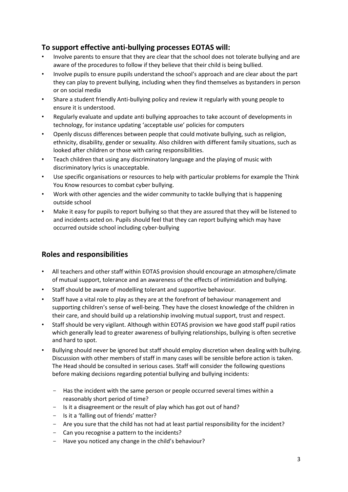## **To support effective anti-bullying processes EOTAS will:**

- Involve parents to ensure that they are clear that the school does not tolerate bullying and are aware of the procedures to follow if they believe that their child is being bullied.
- Involve pupils to ensure pupils understand the school's approach and are clear about the part they can play to prevent bullying, including when they find themselves as bystanders in person or on social media
- Share a student friendly Anti-bullying policy and review it regularly with young people to ensure it is understood.
- Regularly evaluate and update anti bullying approaches to take account of developments in technology, for instance updating 'acceptable use' policies for computers
- Openly discuss differences between people that could motivate bullying, such as religion, ethnicity, disability, gender or sexuality. Also children with different family situations, such as looked after children or those with caring responsibilities.
- Teach children that using any discriminatory language and the playing of music with discriminatory lyrics is unacceptable.
- Use specific organisations or resources to help with particular problems for example the Think You Know resources to combat cyber bullying.
- Work with other agencies and the wider community to tackle bullying that is happening outside school
- Make it easy for pupils to report bullying so that they are assured that they will be listened to and incidents acted on. Pupils should feel that they can report bullying which may have occurred outside school including cyber-bullying

## **Roles and responsibilities**

- All teachers and other staff within EOTAS provision should encourage an atmosphere/climate of mutual support, tolerance and an awareness of the effects of intimidation and bullying.
- Staff should be aware of modelling tolerant and supportive behaviour.
- Staff have a vital role to play as they are at the forefront of behaviour management and supporting children's sense of well-being. They have the closest knowledge of the children in their care, and should build up a relationship involving mutual support, trust and respect.
- Staff should be very vigilant. Although within EOTAS provision we have good staff pupil ratios which generally lead to greater awareness of bullying relationships, bullying is often secretive and hard to spot.
- Bullying should never be ignored but staff should employ discretion when dealing with bullying. Discussion with other members of staff in many cases will be sensible before action is taken. The Head should be consulted in serious cases. Staff will consider the following questions before making decisions regarding potential bullying and bullying incidents:
	- Has the incident with the same person or people occurred several times within a reasonably short period of time?
	- Is it a disagreement or the result of play which has got out of hand?
	- Is it a 'falling out of friends' matter?
	- Are you sure that the child has not had at least partial responsibility for the incident?
	- Can you recognise a pattern to the incidents?
	- Have you noticed any change in the child's behaviour?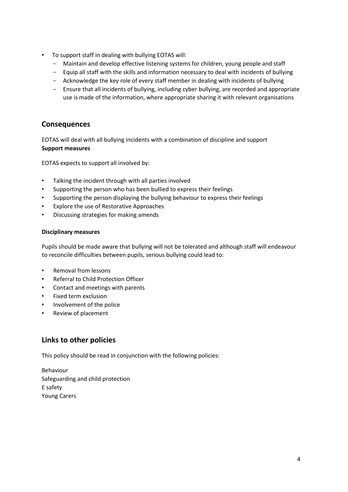- To support staff in dealing with bullying EOTAS will:
	- Maintain and develop effective listening systems for children, young people and staff
	- Equip all staff with the skills and information necessary to deal with incidents of bullying
	- Acknowledge the key role of every staff member in dealing with incidents of bullying
	- Ensure that all incidents of bullying, including cyber bullying, are recorded and appropriate use is made of the information, where appropriate sharing it with relevant organisations

## **Consequences**

EOTAS will deal with all bullying incidents with a combination of discipline and support **Support measures** 

EOTAS expects to support all involved by:

- Talking the incident through with all parties involved
- Supporting the person who has been bullied to express their feelings
- Supporting the person displaying the bullying behaviour to express their feelings
- Explore the use of Restorative Approaches
- Discussing strategies for making amends

#### **Disciplinary measures**

Pupils should be made aware that bullying will not be tolerated and although staff will endeavour to reconcile difficulties between pupils, serious bullying could lead to:

- Removal from lessons
- Referral to Child Protection Officer
- Contact and meetings with parents
- Fixed term exclusion
- Involvement of the police
- Review of placement

### **Links to other policies**

This policy should be read in conjunction with the following policies:

Behaviour Safeguarding and child protection E safety Young Carers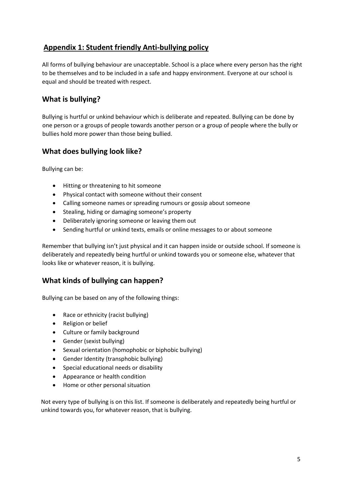# **Appendix 1: Student friendly Anti-bullying policy**

All forms of bullying behaviour are unacceptable. School is a place where every person has the right to be themselves and to be included in a safe and happy environment. Everyone at our school is equal and should be treated with respect.

# **What is bullying?**

Bullying is hurtful or unkind behaviour which is deliberate and repeated. Bullying can be done by one person or a groups of people towards another person or a group of people where the bully or bullies hold more power than those being bullied.

## **What does bullying look like?**

Bullying can be:

- Hitting or threatening to hit someone
- Physical contact with someone without their consent
- Calling someone names or spreading rumours or gossip about someone
- Stealing, hiding or damaging someone's property
- Deliberately ignoring someone or leaving them out
- Sending hurtful or unkind texts, emails or online messages to or about someone

Remember that bullying isn't just physical and it can happen inside or outside school. If someone is deliberately and repeatedly being hurtful or unkind towards you or someone else, whatever that looks like or whatever reason, it is bullying.

## **What kinds of bullying can happen?**

Bullying can be based on any of the following things:

- Race or ethnicity (racist bullying)
- Religion or belief
- Culture or family background
- Gender (sexist bullying)
- Sexual orientation (homophobic or biphobic bullying)
- Gender Identity (transphobic bullying)
- Special educational needs or disability
- Appearance or health condition
- Home or other personal situation

Not every type of bullying is on this list. If someone is deliberately and repeatedly being hurtful or unkind towards you, for whatever reason, that is bullying.